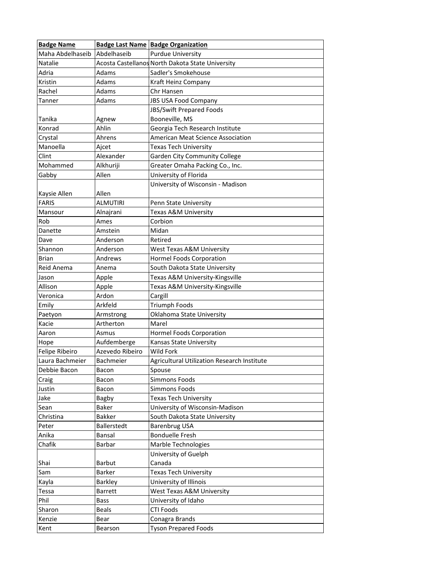| <b>Badge Name</b> |                  | <b>Badge Last Name Badge Organization</b>        |
|-------------------|------------------|--------------------------------------------------|
| Maha Abdelhaseib  | Abdelhaseib      | <b>Purdue University</b>                         |
| <b>Natalie</b>    |                  | Acosta Castellanos North Dakota State University |
| Adria             | Adams            | Sadler's Smokehouse                              |
| Kristin           | Adams            | Kraft Heinz Company                              |
| Rachel            | Adams            | Chr Hansen                                       |
| Tanner            | Adams            | <b>JBS USA Food Company</b>                      |
|                   |                  | JBS/Swift Prepared Foods                         |
| Tanika            | Agnew            | Booneville, MS                                   |
| Konrad            | Ahlin            | Georgia Tech Research Institute                  |
| Crystal           | Ahrens           | American Meat Science Association                |
| Manoella          | Ajcet            | Texas Tech University                            |
| Clint             | Alexander        | <b>Garden City Community College</b>             |
| Mohammed          | Alkhuriji        | Greater Omaha Packing Co., Inc.                  |
| Gabby             | Allen            | University of Florida                            |
|                   |                  | University of Wisconsin - Madison                |
| Kaysie Allen      | Allen            |                                                  |
| <b>FARIS</b>      | <b>ALMUTIRI</b>  | Penn State University                            |
| Mansour           | Alnajrani        | Texas A&M University                             |
| Rob               | Ames             | Corbion                                          |
| Danette           | Amstein          | Midan                                            |
| Dave              | Anderson         | Retired                                          |
| Shannon           | Anderson         | West Texas A&M University                        |
| <b>Brian</b>      | Andrews          | Hormel Foods Corporation                         |
| Reid Anema        | Anema            | South Dakota State University                    |
| Jason             | Apple            | Texas A&M University-Kingsville                  |
| Allison           | Apple            | Texas A&M University-Kingsville                  |
| Veronica          | Ardon            | Cargill                                          |
| Emily             | Arkfeld          | <b>Triumph Foods</b>                             |
| Paetyon           | Armstrong        | Oklahoma State University                        |
| Kacie             | Artherton        | Marel                                            |
| Aaron             | Asmus            | Hormel Foods Corporation                         |
| Hope              | Aufdemberge      | Kansas State University                          |
| Felipe Ribeiro    | Azevedo Ribeiro  | Wild Fork                                        |
| Laura Bachmeier   | <b>Bachmeier</b> | Agricultural Utilization Research Institute      |
| Debbie Bacon      | Bacon            | Spouse                                           |
| Craig             | Bacon            | <b>Simmons Foods</b>                             |
| Justin            | Bacon            | <b>Simmons Foods</b>                             |
| Jake              | Bagby            | <b>Texas Tech University</b>                     |
| Sean              | Baker            | University of Wisconsin-Madison                  |
| Christina         | <b>Bakker</b>    | South Dakota State University                    |
| Peter             | Ballerstedt      | Barenbrug USA                                    |
| Anika             | Bansal           | <b>Bonduelle Fresh</b>                           |
| Chafik            | Barbar           | Marble Technologies                              |
|                   |                  | University of Guelph                             |
| Shai              | <b>Barbut</b>    | Canada                                           |
| Sam               | Barker           | <b>Texas Tech University</b>                     |
| Kayla             | Barkley          | University of Illinois                           |
| Tessa             | <b>Barrett</b>   | West Texas A&M University                        |
| Phil              | <b>Bass</b>      | University of Idaho                              |
| Sharon            | <b>Beals</b>     | <b>CTI Foods</b>                                 |
| Kenzie            | Bear             | Conagra Brands                                   |
| Kent              | Bearson          | <b>Tyson Prepared Foods</b>                      |
|                   |                  |                                                  |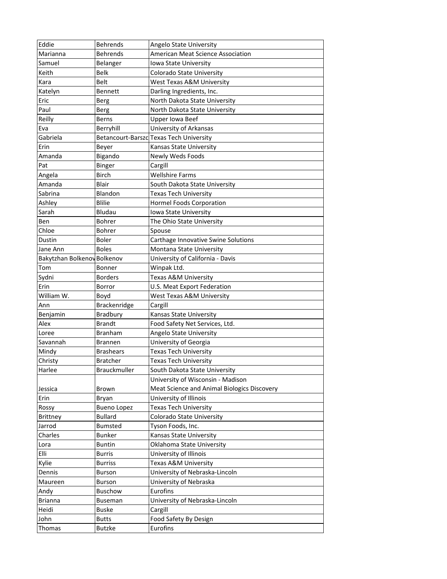| Eddie                       | <b>Behrends</b>     | Angelo State University                     |
|-----------------------------|---------------------|---------------------------------------------|
| Marianna                    | <b>Behrends</b>     | American Meat Science Association           |
| Samuel                      | Belanger            | Iowa State University                       |
| Keith                       | Belk                | Colorado State University                   |
| Kara                        | <b>Belt</b>         | West Texas A&M University                   |
| Katelyn                     | <b>Bennett</b>      | Darling Ingredients, Inc.                   |
| Eric                        | <b>Berg</b>         | North Dakota State University               |
| Paul                        | <b>Berg</b>         | North Dakota State University               |
| Reilly                      | <b>Berns</b>        | <b>Upper Iowa Beef</b>                      |
| Eva                         | Berryhill           | University of Arkansas                      |
| Gabriela                    |                     | Betancourt-Barszc Texas Tech University     |
| Erin                        | Beyer               | Kansas State University                     |
| Amanda                      | Bigando             | Newly Weds Foods                            |
| Pat                         | <b>Binger</b>       | Cargill                                     |
| Angela                      | Birch               | <b>Wellshire Farms</b>                      |
| Amanda                      | Blair               | South Dakota State University               |
| Sabrina                     | Blandon             | <b>Texas Tech University</b>                |
| Ashley                      | <b>Blilie</b>       | Hormel Foods Corporation                    |
| Sarah                       | Bludau              | <b>Iowa State University</b>                |
| Ben                         | <b>Bohrer</b>       | The Ohio State University                   |
| Chloe                       | <b>Bohrer</b>       | Spouse                                      |
| Dustin                      | <b>Boler</b>        | Carthage Innovative Swine Solutions         |
| Jane Ann                    | <b>Boles</b>        | Montana State University                    |
| Bakytzhan Bolkenov Bolkenov |                     | University of California - Davis            |
| Tom                         | Bonner              | Winpak Ltd.                                 |
| Sydni                       | <b>Borders</b>      | Texas A&M University                        |
| Erin                        | Borror              | U.S. Meat Export Federation                 |
| William W.                  | Boyd                | West Texas A&M University                   |
| Ann                         | Brackenridge        | Cargill                                     |
| Benjamin                    | Bradbury            | Kansas State University                     |
| Alex                        | <b>Brandt</b>       | Food Safety Net Services, Ltd.              |
| Loree                       | Branham             | Angelo State University                     |
| Savannah                    | <b>Brannen</b>      | University of Georgia                       |
| Mindy                       | <b>Brashears</b>    | <b>Texas Tech University</b>                |
| Christy                     | <b>Bratcher</b>     | <b>Texas Tech University</b>                |
| Harlee                      | <b>Brauckmuller</b> | South Dakota State University               |
|                             |                     | University of Wisconsin - Madison           |
| Jessica                     | Brown               | Meat Science and Animal Biologics Discovery |
| Erin                        | Bryan               | University of Illinois                      |
| Rossy                       | <b>Bueno Lopez</b>  | <b>Texas Tech University</b>                |
| <b>Brittney</b>             | <b>Bullard</b>      | Colorado State University                   |
| Jarrod                      | <b>Bumsted</b>      | Tyson Foods, Inc.                           |
| Charles                     | <b>Bunker</b>       | Kansas State University                     |
| Lora                        | <b>Buntin</b>       | Oklahoma State University                   |
| Elli                        | <b>Burris</b>       | University of Illinois                      |
| Kylie                       | <b>Burriss</b>      | Texas A&M University                        |
| Dennis                      | <b>Burson</b>       | University of Nebraska-Lincoln              |
| Maureen                     | <b>Burson</b>       | University of Nebraska                      |
| Andy                        | Buschow             | Eurofins                                    |
| <b>Brianna</b>              | <b>Buseman</b>      | University of Nebraska-Lincoln              |
|                             |                     |                                             |
| Heidi                       | <b>Buske</b>        | Cargill                                     |
| John                        | <b>Butts</b>        | Food Safety By Design                       |
| Thomas                      | Butzke              | Eurofins                                    |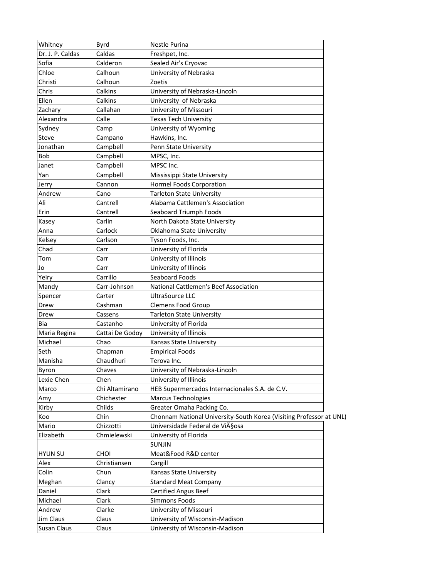| Whitney          | Byrd            | Nestle Purina                                                       |  |
|------------------|-----------------|---------------------------------------------------------------------|--|
| Dr. J. P. Caldas | Caldas          | Freshpet, Inc.                                                      |  |
| Sofia            | Calderon        | Sealed Air's Cryovac                                                |  |
| Chloe            | Calhoun         | University of Nebraska                                              |  |
| Christi          | Calhoun         | Zoetis                                                              |  |
| Chris            | Calkins         | University of Nebraska-Lincoln                                      |  |
| Ellen            | Calkins         | University of Nebraska                                              |  |
| Zachary          | Callahan        | University of Missouri                                              |  |
| Alexandra        | Calle           | <b>Texas Tech University</b>                                        |  |
| Sydney           | Camp            | University of Wyoming                                               |  |
| <b>Steve</b>     | Campano         | Hawkins, Inc.                                                       |  |
| Jonathan         | Campbell        | Penn State University                                               |  |
| <b>Bob</b>       | Campbell        | MPSC, Inc.                                                          |  |
| Janet            | Campbell        | MPSC Inc.                                                           |  |
| Yan              | Campbell        | Mississippi State University                                        |  |
| Jerry            | Cannon          | Hormel Foods Corporation                                            |  |
| Andrew           | Cano            | <b>Tarleton State University</b>                                    |  |
| Ali              | Cantrell        | Alabama Cattlemen's Association                                     |  |
| Erin             | Cantrell        | Seaboard Triumph Foods                                              |  |
| Kasey            | Carlin          | North Dakota State University                                       |  |
| Anna             | Carlock         | Oklahoma State University                                           |  |
| Kelsey           | Carlson         | Tyson Foods, Inc.                                                   |  |
| Chad             | Carr            | University of Florida                                               |  |
| Tom              | Carr            | University of Illinois                                              |  |
| Jo               | Carr            | University of Illinois                                              |  |
| Yeiry            | Carrillo        | Seaboard Foods                                                      |  |
| Mandy            | Carr-Johnson    | National Cattlemen's Beef Association                               |  |
| Spencer          | Carter          | <b>UltraSource LLC</b>                                              |  |
| Drew             | Cashman         | <b>Clemens Food Group</b>                                           |  |
| Drew             | Cassens         | <b>Tarleton State University</b>                                    |  |
| Bia              | Castanho        | University of Florida                                               |  |
|                  |                 |                                                                     |  |
| Maria Regina     | Cattai De Godoy | University of Illinois                                              |  |
| Michael          | Chao            | Kansas State University                                             |  |
| Seth             | Chapman         | <b>Empirical Foods</b>                                              |  |
| Manisha          | Chaudhuri       | Terova Inc.                                                         |  |
| Byron            | Chaves          | University of Nebraska-Lincoln                                      |  |
| Lexie Chen       | Chen            | University of Illinois                                              |  |
| Marco            | Chi Altamirano  | HEB Supermercados Internacionales S.A. de C.V.                      |  |
| Amy              | Chichester      | <b>Marcus Technologies</b>                                          |  |
| Kirby            | Childs          | Greater Omaha Packing Co.                                           |  |
| Koo              | Chin            | Chonnam National University-South Korea (Visiting Professor at UNL) |  |
| Mario            | Chizzotti       | Universidade Federal de Viçosa                                      |  |
| Elizabeth        | Chmielewski     | University of Florida                                               |  |
|                  |                 | <b>SUNJIN</b>                                                       |  |
| <b>HYUN SU</b>   | CHOI            | Meat&Food R&D center                                                |  |
| Alex             | Christiansen    | Cargill                                                             |  |
| Colin            | Chun            | Kansas State University                                             |  |
| Meghan           | Clancy          | <b>Standard Meat Company</b>                                        |  |
| Daniel           | Clark           | <b>Certified Angus Beef</b>                                         |  |
| Michael          | Clark           | Simmons Foods                                                       |  |
| Andrew           | Clarke          | University of Missouri                                              |  |
| Jim Claus        | Claus           | University of Wisconsin-Madison                                     |  |
| Susan Claus      | Claus           | University of Wisconsin-Madison                                     |  |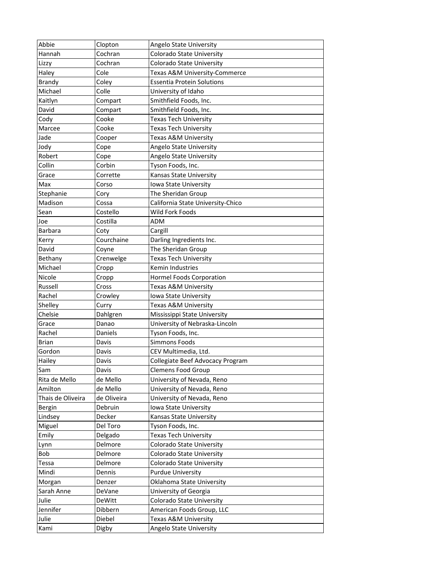| Abbie             | Clopton     | Angelo State University           |
|-------------------|-------------|-----------------------------------|
| Hannah            | Cochran     | Colorado State University         |
| Lizzy             | Cochran     | Colorado State University         |
| Haley             | Cole        | Texas A&M University-Commerce     |
| Brandy            | Coley       | <b>Essentia Protein Solutions</b> |
| Michael           | Colle       | University of Idaho               |
| Kaitlyn           | Compart     | Smithfield Foods, Inc.            |
| David             | Compart     | Smithfield Foods, Inc.            |
| Cody              | Cooke       | <b>Texas Tech University</b>      |
| Marcee            | Cooke       | <b>Texas Tech University</b>      |
| Jade              | Cooper      | Texas A&M University              |
| Jody              | Cope        | Angelo State University           |
| Robert            | Cope        | Angelo State University           |
| Collin            | Corbin      | Tyson Foods, Inc.                 |
| Grace             | Corrette    | Kansas State University           |
| Max               | Corso       | Iowa State University             |
| Stephanie         | Cory        | The Sheridan Group                |
| Madison           | Cossa       | California State University-Chico |
| Sean              | Costello    | Wild Fork Foods                   |
| Joe               | Costilla    | ADM                               |
| Barbara           | Coty        | Cargill                           |
| Kerry             | Courchaine  | Darling Ingredients Inc.          |
| David             | Coyne       | The Sheridan Group                |
| Bethany           | Crenwelge   | <b>Texas Tech University</b>      |
| Michael           | Cropp       | Kemin Industries                  |
| Nicole            | Cropp       | Hormel Foods Corporation          |
| Russell           | Cross       | Texas A&M University              |
| Rachel            | Crowley     | Iowa State University             |
| Shelley           | Curry       | Texas A&M University              |
| Chelsie           | Dahlgren    | Mississippi State University      |
| Grace             | Danao       | University of Nebraska-Lincoln    |
| Rachel            | Daniels     | Tyson Foods, Inc.                 |
| <b>Brian</b>      | Davis       | <b>Simmons Foods</b>              |
| Gordon            | Davis       | CEV Multimedia, Ltd.              |
| Hailey            | Davis       | Collegiate Beef Advocacy Program  |
| Sam               | Davis       | <b>Clemens Food Group</b>         |
| Rita de Mello     | de Mello    | University of Nevada, Reno        |
| Amilton           | de Mello    | University of Nevada, Reno        |
| Thais de Oliveira | de Oliveira | University of Nevada, Reno        |
| <b>Bergin</b>     | Debruin     | Iowa State University             |
| Lindsey           | Decker      | Kansas State University           |
| Miguel            | Del Toro    | Tyson Foods, Inc.                 |
| Emily             | Delgado     | Texas Tech University             |
| Lynn              | Delmore     | Colorado State University         |
| <b>Bob</b>        | Delmore     | Colorado State University         |
| Tessa             | Delmore     | Colorado State University         |
| Mindi             | Dennis      | <b>Purdue University</b>          |
| Morgan            | Denzer      | Oklahoma State University         |
| Sarah Anne        | DeVane      | University of Georgia             |
| Julie             | DeWitt      | Colorado State University         |
| Jennifer          | Dibbern     | American Foods Group, LLC         |
| Julie             | Diebel      | Texas A&M University              |
| Kami              | Digby       | Angelo State University           |
|                   |             |                                   |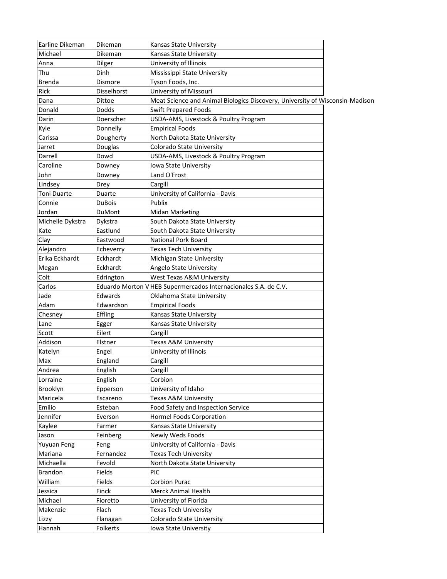| Earline Dikeman        | Dikeman           | Kansas State University                                                      |  |
|------------------------|-------------------|------------------------------------------------------------------------------|--|
| Michael                | Dikeman           | Kansas State University                                                      |  |
| Anna                   | Dilger            | University of Illinois                                                       |  |
| Thu                    | Dinh              | Mississippi State University                                                 |  |
| <b>Brenda</b>          | Dismore           | Tyson Foods, Inc.                                                            |  |
| Rick                   | Disselhorst       | University of Missouri                                                       |  |
| Dana                   | Dittoe            | Meat Science and Animal Biologics Discovery, University of Wisconsin-Madison |  |
| Donald                 | Dodds             | <b>Swift Prepared Foods</b>                                                  |  |
| Darin                  | Doerscher         | USDA-AMS, Livestock & Poultry Program                                        |  |
| Kyle                   | Donnelly          | <b>Empirical Foods</b>                                                       |  |
| Carissa                | Dougherty         | North Dakota State University                                                |  |
| Jarret                 | Douglas           | Colorado State University                                                    |  |
| Darrell                | Dowd              | USDA-AMS, Livestock & Poultry Program                                        |  |
| Caroline               | Downey            | Iowa State University                                                        |  |
| John                   | Downey            | Land O'Frost                                                                 |  |
| Lindsey                | Drey              | Cargill                                                                      |  |
| Toni Duarte            | Duarte            | University of California - Davis                                             |  |
| Connie                 | <b>DuBois</b>     | Publix                                                                       |  |
| Jordan                 | DuMont            | <b>Midan Marketing</b>                                                       |  |
| Michelle Dykstra       | Dykstra           | South Dakota State University                                                |  |
| Kate                   | Eastlund          | South Dakota State University                                                |  |
| Clay                   | Eastwood          | National Pork Board                                                          |  |
| Alejandro              | Echeverry         | <b>Texas Tech University</b>                                                 |  |
| Erika Eckhardt         | Eckhardt          | Michigan State University                                                    |  |
| Megan                  | Eckhardt          | Angelo State University                                                      |  |
| Colt                   | Edrington         | West Texas A&M University                                                    |  |
| Carlos                 |                   | Eduardo Morton VHEB Supermercados Internacionales S.A. de C.V.               |  |
| Jade                   | Edwards           | Oklahoma State University                                                    |  |
| Adam                   | Edwardson         | <b>Empirical Foods</b>                                                       |  |
| Chesney                | Effling           | Kansas State University                                                      |  |
| Lane                   | Egger             | Kansas State University                                                      |  |
| Scott                  | Eilert            | Cargill                                                                      |  |
| Addison                | Elstner           | Texas A&M University                                                         |  |
| Katelyn                | Engel             | University of Illinois                                                       |  |
| Max                    | England           | Cargill                                                                      |  |
| Andrea                 | English           | Cargill                                                                      |  |
| Lorraine               | English           | Corbion                                                                      |  |
| Brooklyn               | Epperson          | University of Idaho                                                          |  |
| Maricela               | Escareno          | Texas A&M University                                                         |  |
| Emilio                 | Esteban           | Food Safety and Inspection Service                                           |  |
| Jennifer               | Everson           | Hormel Foods Corporation                                                     |  |
| Kaylee                 | Farmer            | Kansas State University                                                      |  |
| Jason                  | Feinberg          | Newly Weds Foods                                                             |  |
|                        |                   | University of California - Davis                                             |  |
| Yuyuan Feng<br>Mariana | Feng<br>Fernandez | <b>Texas Tech University</b>                                                 |  |
|                        | Fevold            |                                                                              |  |
| Michaella              |                   | North Dakota State University<br>PIC                                         |  |
| Brandon                | Fields            |                                                                              |  |
| William                | Fields            | <b>Corbion Purac</b>                                                         |  |
| Jessica                | Finck             | Merck Animal Health                                                          |  |
| Michael                | Fioretto          | University of Florida                                                        |  |
| Makenzie               | Flach             | <b>Texas Tech University</b>                                                 |  |
| Lizzy                  | Flanagan          | Colorado State University                                                    |  |
| Hannah                 | Folkerts          | Iowa State University                                                        |  |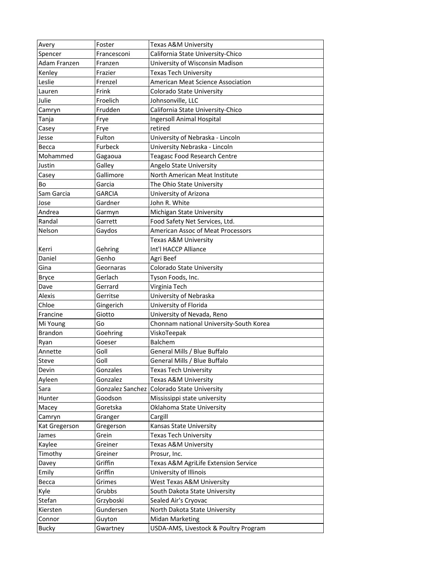| Avery          | Foster        | Texas A&M University                       |
|----------------|---------------|--------------------------------------------|
| Spencer        | Francesconi   | California State University-Chico          |
| Adam Franzen   | Franzen       | University of Wisconsin Madison            |
| Kenley         | Frazier       | <b>Texas Tech University</b>               |
| Leslie         | Frenzel       | American Meat Science Association          |
| Lauren         | Frink         | Colorado State University                  |
| Julie          | Froelich      | Johnsonville, LLC                          |
| Camryn         | Frudden       | California State University-Chico          |
| Tanja          | Frye          | <b>Ingersoll Animal Hospital</b>           |
| Casey          | Frye          | retired                                    |
| Jesse          | Fulton        | University of Nebraska - Lincoln           |
| Becca          | Furbeck       | University Nebraska - Lincoln              |
| Mohammed       | Gagaoua       | <b>Teagasc Food Research Centre</b>        |
| Justin         | Galley        | Angelo State University                    |
| Casey          | Gallimore     | North American Meat Institute              |
| Bo             | Garcia        | The Ohio State University                  |
| Sam Garcia     | <b>GARCIA</b> | University of Arizona                      |
| Jose           | Gardner       | John R. White                              |
| Andrea         | Garmyn        | Michigan State University                  |
| Randal         | Garrett       | Food Safety Net Services, Ltd.             |
| Nelson         | Gaydos        | American Assoc of Meat Processors          |
|                |               | Texas A&M University                       |
| Kerri          | Gehring       | Int'l HACCP Alliance                       |
| Daniel         | Genho         | Agri Beef                                  |
| Gina           | Geornaras     | Colorado State University                  |
| <b>Bryce</b>   | Gerlach       | Tyson Foods, Inc.                          |
| Dave           | Gerrard       | Virginia Tech                              |
| Alexis         | Gerritse      | University of Nebraska                     |
| Chloe          | Gingerich     | University of Florida                      |
| Francine       | Giotto        | University of Nevada, Reno                 |
| Mi Young       | Go            | Chonnam national University-South Korea    |
| <b>Brandon</b> | Goehring      | ViskoTeepak                                |
| Ryan           | Goeser        | <b>Balchem</b>                             |
| Annette        | Goll          | General Mills / Blue Buffalo               |
| Steve          | Goll          | General Mills / Blue Buffalo               |
| Devin          | Gonzales      | <b>Texas Tech University</b>               |
| Ayleen         | Gonzalez      | Texas A&M University                       |
| Sara           |               | Gonzalez Sanchez Colorado State University |
| Hunter         | Goodson       | Mississippi state university               |
| Macey          | Goretska      | Oklahoma State University                  |
| Camryn         | Granger       | Cargill                                    |
| Kat Gregerson  | Gregerson     | Kansas State University                    |
| James          | Grein         | Texas Tech University                      |
| Kaylee         | Greiner       | Texas A&M University                       |
| Timothy        | Greiner       | Prosur, Inc.                               |
|                | Griffin       | Texas A&M AgriLife Extension Service       |
| Davey<br>Emily | Griffin       | University of Illinois                     |
| Becca          | Grimes        | West Texas A&M University                  |
| Kyle           | Grubbs        | South Dakota State University              |
|                |               |                                            |
| Stefan         | Grzyboski     | Sealed Air's Cryovac                       |
| Kiersten       | Gundersen     | North Dakota State University              |
| Connor         | Guyton        | <b>Midan Marketing</b>                     |
| <b>Bucky</b>   | Gwartney      | USDA-AMS, Livestock & Poultry Program      |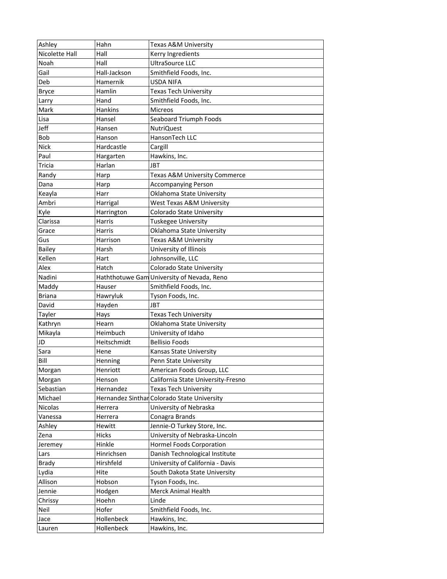| Ashley         | Hahn         | Texas A&M University                        |
|----------------|--------------|---------------------------------------------|
| Nicolette Hall | Hall         | Kerry Ingredients                           |
| Noah           | Hall         | UltraSource LLC                             |
| Gail           | Hall-Jackson | Smithfield Foods, Inc.                      |
| Deb            | Hamernik     | <b>USDA NIFA</b>                            |
| <b>Bryce</b>   | Hamlin       | <b>Texas Tech University</b>                |
| Larry          | Hand         | Smithfield Foods, Inc.                      |
| Mark           | Hankins      | <b>Micreos</b>                              |
| Lisa           | Hansel       | Seaboard Triumph Foods                      |
| Jeff           | Hansen       | <b>NutriQuest</b>                           |
| <b>Bob</b>     | Hanson       | HansonTech LLC                              |
| <b>Nick</b>    | Hardcastle   | Cargill                                     |
| Paul           | Hargarten    | Hawkins, Inc.                               |
| Tricia         | Harlan       | <b>JBT</b>                                  |
| Randy          | Harp         | <b>Texas A&amp;M University Commerce</b>    |
| Dana           | Harp         | <b>Accompanying Person</b>                  |
| Keayla         | Harr         | Oklahoma State University                   |
| Ambri          | Harrigal     | West Texas A&M University                   |
| Kyle           | Harrington   | Colorado State University                   |
| Clarissa       | Harris       | <b>Tuskegee University</b>                  |
| Grace          | Harris       | Oklahoma State University                   |
| Gus            | Harrison     | Texas A&M University                        |
| <b>Bailey</b>  | Harsh        | University of Illinois                      |
| Kellen         | Hart         | Johnsonville, LLC                           |
| Alex           | Hatch        | Colorado State University                   |
| Nadini         |              | Haththotuwe Gam University of Nevada, Reno  |
| Maddy          | Hauser       | Smithfield Foods, Inc.                      |
| <b>Briana</b>  | Hawryluk     | Tyson Foods, Inc.                           |
| David          | Hayden       | JBT                                         |
| Tayler         | Hays         | <b>Texas Tech University</b>                |
| Kathryn        | Hearn        | Oklahoma State University                   |
| Mikayla        | Heimbuch     | University of Idaho                         |
| JD             | Heitschmidt  | <b>Bellisio Foods</b>                       |
| Sara           | Hene         | Kansas State University                     |
| Bill           | Henning      | Penn State University                       |
| Morgan         | Henriott     | American Foods Group, LLC                   |
| Morgan         | Henson       | California State University-Fresno          |
| Sebastian      | Hernandez    | Texas Tech University                       |
| Michael        |              | Hernandez Sinthar Colorado State University |
| Nicolas        | Herrera      | University of Nebraska                      |
| Vanessa        | Herrera      | Conagra Brands                              |
| Ashley         | Hewitt       | Jennie-O Turkey Store, Inc.                 |
| Zena           | Hicks        | University of Nebraska-Lincoln              |
| Jeremey        | Hinkle       | Hormel Foods Corporation                    |
| Lars           | Hinrichsen   | Danish Technological Institute              |
| <b>Brady</b>   | Hirshfeld    | University of California - Davis            |
| Lydia          | Hite         | South Dakota State University               |
| Allison        | Hobson       | Tyson Foods, Inc.                           |
| Jennie         | Hodgen       | Merck Animal Health                         |
| Chrissy        | Hoehn        | Linde                                       |
| Neil           | Hofer        | Smithfield Foods, Inc.                      |
| Jace           | Hollenbeck   | Hawkins, Inc.                               |
| Lauren         | Hollenbeck   | Hawkins, Inc.                               |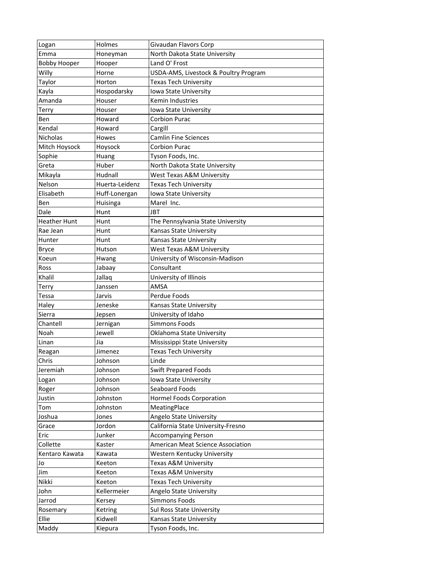| Logan               | Holmes         | Givaudan Flavors Corp                 |
|---------------------|----------------|---------------------------------------|
| Emma                | Honeyman       | North Dakota State University         |
| <b>Bobby Hooper</b> | Hooper         | Land O' Frost                         |
| Willy               | Horne          | USDA-AMS, Livestock & Poultry Program |
| Taylor              | Horton         | <b>Texas Tech University</b>          |
| Kayla               | Hospodarsky    | Iowa State University                 |
| Amanda              | Houser         | Kemin Industries                      |
| Terry               | Houser         | Iowa State University                 |
| Ben                 | Howard         | <b>Corbion Purac</b>                  |
| Kendal              | Howard         | Cargill                               |
| Nicholas            | Howes          | <b>Camlin Fine Sciences</b>           |
| Mitch Hoysock       | Hoysock        | <b>Corbion Purac</b>                  |
| Sophie              | Huang          | Tyson Foods, Inc.                     |
| Greta               | Huber          | North Dakota State University         |
| Mikayla             | Hudnall        | West Texas A&M University             |
| Nelson              | Huerta-Leidenz | <b>Texas Tech University</b>          |
| Elisabeth           | Huff-Lonergan  | Iowa State University                 |
| Ben                 | Huisinga       | Marel Inc.                            |
| Dale                | Hunt           | JBT                                   |
| <b>Heather Hunt</b> | Hunt           | The Pennsylvania State University     |
| Rae Jean            | Hunt           | Kansas State University               |
| Hunter              | Hunt           | Kansas State University               |
| <b>Bryce</b>        | Hutson         | West Texas A&M University             |
| Koeun               | Hwang          | University of Wisconsin-Madison       |
| Ross                | Jabaay         | Consultant                            |
| Khalil              | Jallaq         | University of Illinois                |
| Terry               | Janssen        | AMSA                                  |
| Tessa               | Jarvis         | Perdue Foods                          |
| Haley               | Jeneske        | Kansas State University               |
| Sierra              | Jepsen         | University of Idaho                   |
| Chantell            | Jernigan       | <b>Simmons Foods</b>                  |
| Noah                | Jewell         | Oklahoma State University             |
| Linan               | Jia            | Mississippi State University          |
| Reagan              | Jimenez        | Texas Tech University                 |
| Chris               | Johnson        | Linde                                 |
| Jeremiah            | Johnson        | <b>Swift Prepared Foods</b>           |
| Logan               | Johnson        | Iowa State University                 |
| Roger               | Johnson        | Seaboard Foods                        |
| Justin              | Johnston       | Hormel Foods Corporation              |
| Tom                 | Johnston       | MeatingPlace                          |
| Joshua              | Jones          | Angelo State University               |
| Grace               | Jordon         | California State University-Fresno    |
| Eric                | Junker         | <b>Accompanying Person</b>            |
| Collette            | Kaster         | American Meat Science Association     |
| Kentaro Kawata      | Kawata         | Western Kentucky University           |
| Jo                  | Keeton         | Texas A&M University                  |
| Jim                 | Keeton         | Texas A&M University                  |
| Nikki               | Keeton         | <b>Texas Tech University</b>          |
| John                | Kellermeier    | Angelo State University               |
| Jarrod              | Kersey         | Simmons Foods                         |
| Rosemary            | Ketring        | Sul Ross State University             |
| Ellie               | Kidwell        | Kansas State University               |
| Maddy               | Kiepura        | Tyson Foods, Inc.                     |
|                     |                |                                       |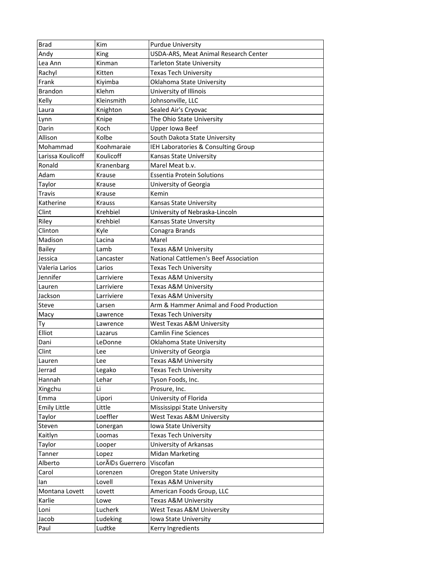| <b>Brad</b>                | Kim                      | <b>Purdue University</b>                                        |
|----------------------------|--------------------------|-----------------------------------------------------------------|
| Andy                       | King                     | USDA-ARS, Meat Animal Research Center                           |
| Lea Ann                    | Kinman                   | <b>Tarleton State University</b>                                |
| Rachyl                     | Kitten                   | <b>Texas Tech University</b>                                    |
| Frank                      | Kiyimba                  | Oklahoma State University                                       |
| <b>Brandon</b>             | Klehm                    | University of Illinois                                          |
| Kelly                      | Kleinsmith               | Johnsonville, LLC                                               |
| Laura                      | Knighton                 | Sealed Air's Cryovac                                            |
| Lynn                       | Knipe                    | The Ohio State University                                       |
| Darin                      | Koch                     | Upper Iowa Beef                                                 |
| Allison                    | Kolbe                    | South Dakota State University                                   |
| Mohammad                   | Koohmaraie               | IEH Laboratories & Consulting Group                             |
| Larissa Koulicoff          | Koulicoff                | <b>Kansas State University</b>                                  |
| Ronald                     | Kranenbarg               | Marel Meat b.v.                                                 |
| Adam                       | Krause                   | <b>Essentia Protein Solutions</b>                               |
| Taylor                     | Krause                   | University of Georgia                                           |
| Travis                     | Krause                   | Kemin                                                           |
| Katherine                  | <b>Krauss</b>            | Kansas State University                                         |
| Clint                      | Krehbiel                 | University of Nebraska-Lincoln                                  |
| Riley                      | Krehbiel                 | Kansas State Unversity                                          |
| Clinton                    | Kyle                     | Conagra Brands                                                  |
| Madison                    | Lacina                   | Marel                                                           |
| <b>Bailey</b>              | Lamb                     | Texas A&M University                                            |
| Jessica                    | Lancaster                | National Cattlemen's Beef Association                           |
|                            |                          |                                                                 |
| Valeria Larios<br>Jennifer | Larios                   | Texas Tech University                                           |
| Lauren                     | Larriviere<br>Larriviere | Texas A&M University<br>Texas A&M University                    |
|                            |                          |                                                                 |
| Jackson                    | Larriviere               | Texas A&M University<br>Arm & Hammer Animal and Food Production |
| Steve                      | Larsen                   |                                                                 |
| Macy                       | Lawrence                 | Texas Tech University                                           |
| Тy                         | Lawrence                 | West Texas A&M University                                       |
| Elliot                     | Lazarus                  | <b>Camlin Fine Sciences</b>                                     |
| Dani                       | LeDonne                  | Oklahoma State University                                       |
| Clint                      | Lee                      | University of Georgia                                           |
| Lauren                     | Lee                      | Texas A&M University                                            |
| Jerrad                     | Legako                   | <b>Texas Tech University</b>                                    |
| Hannah                     | Lehar                    | Tyson Foods, Inc.                                               |
| Xingchu                    | Li                       | Prosure, Inc.                                                   |
| Emma                       | Lipori                   | University of Florida                                           |
| <b>Emily Little</b>        | Little                   | Mississippi State University                                    |
| Taylor                     | Loeffler                 | West Texas A&M University                                       |
| Steven                     | Lonergan                 | Iowa State University                                           |
| Kaitlyn                    | Loomas                   | Texas Tech University                                           |
| Taylor                     | Looper                   | University of Arkansas                                          |
| Tanner                     | Lopez                    | <b>Midan Marketing</b>                                          |
| Alberto                    | Lorés Guerrero           | Viscofan                                                        |
| Carol                      | Lorenzen                 | <b>Oregon State University</b>                                  |
| lan                        | Lovell                   | Texas A&M University                                            |
| Montana Lovett             | Lovett                   | American Foods Group, LLC                                       |
| Karlie                     | Lowe                     | Texas A&M University                                            |
| Loni                       | Lucherk                  | West Texas A&M University                                       |
| Jacob                      | Ludeking                 | Iowa State University                                           |
| Paul                       | Ludtke                   | Kerry Ingredients                                               |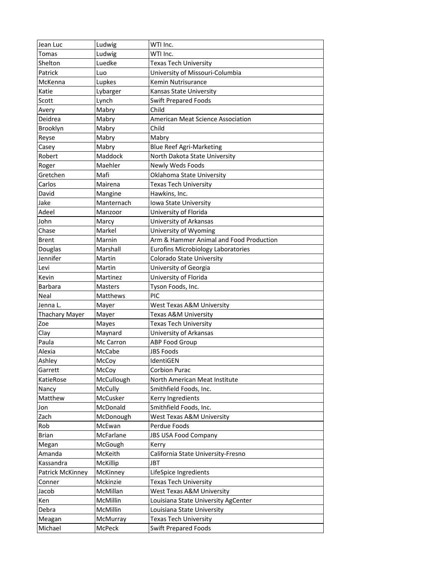| Jean Luc              | Ludwig         | WTI Inc.                                  |
|-----------------------|----------------|-------------------------------------------|
| Tomas                 | Ludwig         | WTI Inc.                                  |
| Shelton               | Luedke         | <b>Texas Tech University</b>              |
| Patrick               | Luo            | University of Missouri-Columbia           |
| McKenna               | Lupkes         | Kemin Nutrisurance                        |
| Katie                 | Lybarger       | Kansas State University                   |
| Scott                 | Lynch          | <b>Swift Prepared Foods</b>               |
| Avery                 | Mabry          | Child                                     |
| Deidrea               | Mabry          | <b>American Meat Science Association</b>  |
| Brooklyn              | Mabry          | Child                                     |
| Reyse                 | Mabry          | Mabry                                     |
| Casey                 | Mabry          | <b>Blue Reef Agri-Marketing</b>           |
| Robert                | Maddock        | North Dakota State University             |
| Roger                 | Maehler        | <b>Newly Weds Foods</b>                   |
| Gretchen              | Mafi           | Oklahoma State University                 |
| Carlos                | Mairena        | <b>Texas Tech University</b>              |
| David                 | Mangine        | Hawkins, Inc.                             |
| Jake                  | Manternach     | Iowa State University                     |
| Adeel                 | Manzoor        | University of Florida                     |
| John                  | Marcy          | University of Arkansas                    |
| Chase                 | Markel         | University of Wyoming                     |
| <b>Brent</b>          | Marnin         | Arm & Hammer Animal and Food Production   |
| Douglas               | Marshall       | <b>Eurofins Microbiology Laboratories</b> |
| Jennifer              | Martin         | Colorado State University                 |
| Levi                  | Martin         | University of Georgia                     |
| Kevin                 | Martinez       | University of Florida                     |
| <b>Barbara</b>        | <b>Masters</b> | Tyson Foods, Inc.                         |
| Neal                  | Matthews       | PIC                                       |
| Jenna L.              | Mayer          | West Texas A&M University                 |
| <b>Thachary Mayer</b> | Mayer          | Texas A&M University                      |
| Zoe                   | Mayes          | Texas Tech University                     |
| Clay                  | Maynard        | University of Arkansas                    |
| Paula                 | Mc Carron      | ABP Food Group                            |
| Alexia                | McCabe         | <b>JBS Foods</b>                          |
| Ashley                | McCoy          | IdentiGEN                                 |
| Garrett               | McCoy          | <b>Corbion Purac</b>                      |
| KatieRose             | McCullough     | North American Meat Institute             |
| Nancy                 | <b>McCully</b> | Smithfield Foods, Inc.                    |
| Matthew               | McCusker       | Kerry Ingredients                         |
| Jon                   | McDonald       | Smithfield Foods, Inc.                    |
| Zach                  | McDonough      | West Texas A&M University                 |
| Rob                   | McEwan         | Perdue Foods                              |
| <b>Brian</b>          | McFarlane      | <b>JBS USA Food Company</b>               |
| Megan                 | McGough        | Kerry                                     |
| Amanda                | McKeith        | California State University-Fresno        |
| Kassandra             | McKillip       | JBT                                       |
| Patrick McKinney      | McKinney       | LifeSpice Ingredients                     |
| Conner                | Mckinzie       | <b>Texas Tech University</b>              |
|                       | McMillan       | West Texas A&M University                 |
| Jacob                 | McMillin       |                                           |
| Ken                   | McMillin       | Louisiana State University AgCenter       |
| Debra                 |                | Louisiana State University                |
| Meagan                | McMurray       | Texas Tech University                     |
| Michael               | McPeck         | <b>Swift Prepared Foods</b>               |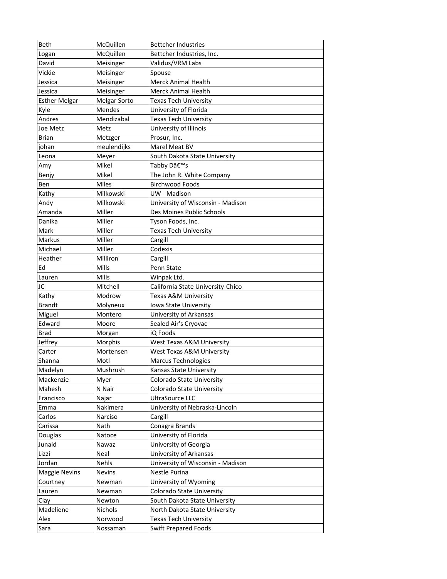| Beth                 | McQuillen           | <b>Bettcher Industries</b>        |
|----------------------|---------------------|-----------------------------------|
| Logan                | McQuillen           | Bettcher Industries, Inc.         |
| David                | Meisinger           | Validus/VRM Labs                  |
| Vickie               | Meisinger           | Spouse                            |
| Jessica              | Meisinger           | <b>Merck Animal Health</b>        |
| Jessica              | Meisinger           | <b>Merck Animal Health</b>        |
| <b>Esther Melgar</b> | <b>Melgar Sorto</b> | <b>Texas Tech University</b>      |
| Kyle                 | Mendes              | University of Florida             |
| Andres               | Mendizabal          | <b>Texas Tech University</b>      |
| Joe Metz             | Metz                | University of Illinois            |
| <b>Brian</b>         | Metzger             | Prosur, Inc.                      |
| johan                | meulendijks         | Marel Meat BV                     |
| Leona                | Meyer               | South Dakota State University     |
| Amy                  | Mikel               | Tabby D's                         |
| Benjy                | Mikel               | The John R. White Company         |
| Ben                  | <b>Miles</b>        | <b>Birchwood Foods</b>            |
| Kathy                | Milkowski           | UW - Madison                      |
| Andy                 | Milkowski           | University of Wisconsin - Madison |
| Amanda               | Miller              | Des Moines Public Schools         |
| Danika               | Miller              | Tyson Foods, Inc.                 |
| Mark                 | Miller              | <b>Texas Tech University</b>      |
| Markus               | Miller              | Cargill                           |
| Michael              | Miller              | Codexis                           |
| Heather              | Milliron            | Cargill                           |
| Ed                   | Mills               | Penn State                        |
| Lauren               | Mills               | Winpak Ltd.                       |
| JC                   | Mitchell            | California State University-Chico |
| Kathy                | Modrow              | Texas A&M University              |
| <b>Brandt</b>        | Molyneux            | Iowa State University             |
| Miguel               | Montero             | University of Arkansas            |
| Edward               | Moore               | Sealed Air's Cryovac              |
| <b>Brad</b>          | Morgan              | iQ Foods                          |
| Jeffrey              | Morphis             | West Texas A&M University         |
| Carter               | Mortensen           | West Texas A&M University         |
| Shanna               | Motl                | <b>Marcus Technologies</b>        |
| Madelyn              | Mushrush            | Kansas State University           |
| Mackenzie            | Myer                | <b>Colorado State University</b>  |
| Mahesh               | N Nair              | Colorado State University         |
| Francisco            | Najar               | UltraSource LLC                   |
| Emma                 | Nakimera            | University of Nebraska-Lincoln    |
| Carlos               | Narciso             | Cargill                           |
| Carissa              | Nath                | Conagra Brands                    |
| Douglas              | Natoce              | University of Florida             |
| Junaid               | Nawaz               | University of Georgia             |
| Lizzi                | Neal                | University of Arkansas            |
| Jordan               | Nehls               | University of Wisconsin - Madison |
| <b>Maggie Nevins</b> | <b>Nevins</b>       | Nestle Purina                     |
| Courtney             | Newman              | University of Wyoming             |
| Lauren               | Newman              | Colorado State University         |
| Clay                 | Newton              | South Dakota State University     |
| Madeliene            | Nichols             | North Dakota State University     |
| Alex                 | Norwood             | Texas Tech University             |
| Sara                 | Nossaman            | <b>Swift Prepared Foods</b>       |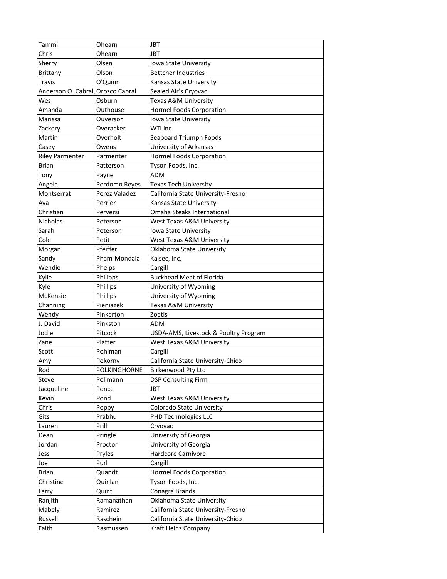| Tammi                             | Ohearn          | <b>JBT</b>                            |
|-----------------------------------|-----------------|---------------------------------------|
| Chris                             | Ohearn          | JBT                                   |
| Sherry                            | Olsen           | <b>Iowa State University</b>          |
| Brittany                          | Olson           | <b>Bettcher Industries</b>            |
| Travis                            | O'Quinn         | Kansas State University               |
| Anderson O. Cabral, Orozco Cabral |                 | Sealed Air's Cryovac                  |
| Wes                               | Osburn          | Texas A&M University                  |
| Amanda                            | Outhouse        | Hormel Foods Corporation              |
| Marissa                           | Ouverson        | Iowa State University                 |
| Zackery                           | Overacker       | WTI inc                               |
| Martin                            | Overholt        | Seaboard Triumph Foods                |
| Casey                             | Owens           | University of Arkansas                |
| <b>Riley Parmenter</b>            | Parmenter       | <b>Hormel Foods Corporation</b>       |
| Brian                             | Patterson       | Tyson Foods, Inc.                     |
| Tony                              | Payne           | ADM                                   |
| Angela                            | Perdomo Reyes   | <b>Texas Tech University</b>          |
| Montserrat                        | Perez Valadez   | California State University-Fresno    |
| Ava                               | Perrier         | Kansas State University               |
| Christian                         | Perversi        | Omaha Steaks International            |
| <b>Nicholas</b>                   | Peterson        | West Texas A&M University             |
| Sarah                             | Peterson        | Iowa State University                 |
| Cole                              | Petit           | West Texas A&M University             |
| Morgan                            | Pfeiffer        | Oklahoma State University             |
| Sandy                             | Pham-Mondala    | Kalsec, Inc.                          |
| Wendie                            | Phelps          | Cargill                               |
| Kylie                             | <b>Philipps</b> | <b>Buckhead Meat of Florida</b>       |
| Kyle                              | Phillips        | University of Wyoming                 |
| McKensie                          | Phillips        | University of Wyoming                 |
| Channing                          | Pieniazek       | Texas A&M University                  |
| Wendy                             | Pinkerton       | Zoetis                                |
| J. David                          | Pinkston        | ADM                                   |
| Jodie                             | Pitcock         | USDA-AMS, Livestock & Poultry Program |
| Zane                              | Platter         | West Texas A&M University             |
| Scott                             | Pohlman         | Cargill                               |
| Amy                               | Pokorny         | California State University-Chico     |
| Rod                               | POLKINGHORNE    | Birkenwood Pty Ltd                    |
| Steve                             | Pollmann        | <b>DSP Consulting Firm</b>            |
| Jacqueline                        | Ponce           | <b>JBT</b>                            |
| Kevin                             | Pond            | West Texas A&M University             |
| Chris                             | Poppy           | Colorado State University             |
| Gits                              | Prabhu          | PHD Technologies LLC                  |
| Lauren                            | Prill           | Cryovac                               |
| Dean                              | Pringle         | University of Georgia                 |
| Jordan                            | Proctor         | University of Georgia                 |
| Jess                              | Pryles          | Hardcore Carnivore                    |
| Joe                               | Purl            | Cargill                               |
| Brian                             | Quandt          | <b>Hormel Foods Corporation</b>       |
| Christine                         | Quinlan         | Tyson Foods, Inc.                     |
| Larry                             | Quint           | Conagra Brands                        |
| Ranjith                           | Ramanathan      | Oklahoma State University             |
| Mabely                            | Ramirez         | California State University-Fresno    |
| Russell                           | Raschein        | California State University-Chico     |
| Faith                             | Rasmussen       | Kraft Heinz Company                   |
|                                   |                 |                                       |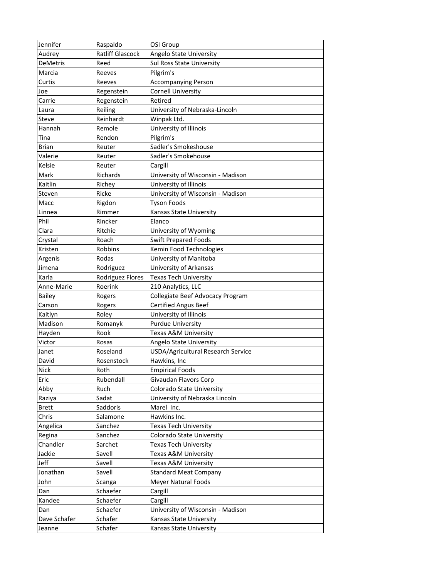| Jennifer        | Raspaldo          | OSI Group                                    |
|-----------------|-------------------|----------------------------------------------|
| Audrey          | Ratliff Glascock  | Angelo State University                      |
| <b>DeMetris</b> | Reed              | Sul Ross State University                    |
| Marcia          | Reeves            | Pilgrim's                                    |
| Curtis          | Reeves            | <b>Accompanying Person</b>                   |
| Joe             | Regenstein        | <b>Cornell University</b>                    |
| Carrie          | Regenstein        | Retired                                      |
| Laura           | Reiling           | University of Nebraska-Lincoln               |
| <b>Steve</b>    | Reinhardt         | Winpak Ltd.                                  |
| Hannah          | Remole            | University of Illinois                       |
| Tina            | Rendon            | Pilgrim's                                    |
| <b>Brian</b>    | Reuter            | Sadler's Smokeshouse                         |
| Valerie         | Reuter            | Sadler's Smokehouse                          |
| Kelsie          | Reuter            | Cargill                                      |
| Mark            | Richards          | University of Wisconsin - Madison            |
| Kaitlin         | Richey            | University of Illinois                       |
| Steven          | Ricke             | University of Wisconsin - Madison            |
| Macc            | Rigdon            | <b>Tyson Foods</b>                           |
| Linnea          | Rimmer            | Kansas State University                      |
| Phil            | Rincker           | Elanco                                       |
| Clara           | Ritchie           | University of Wyoming                        |
| Crystal         | Roach             | <b>Swift Prepared Foods</b>                  |
| Kristen         | Robbins           | Kemin Food Technologies                      |
| Argenis         | Rodas             | University of Manitoba                       |
| Jimena          | Rodriguez         | University of Arkansas                       |
| Karla           | Rodriguez Flores  | <b>Texas Tech University</b>                 |
| Anne-Marie      | Roerink           | 210 Analytics, LLC                           |
| <b>Bailey</b>   | Rogers            | Collegiate Beef Advocacy Program             |
| Carson          | Rogers            | <b>Certified Angus Beef</b>                  |
| Kaitlyn         | Roley             | University of Illinois                       |
| Madison         | Romanyk           | <b>Purdue University</b>                     |
| Hayden          | Rook              | Texas A&M University                         |
| Victor          | Rosas             | Angelo State University                      |
| Janet           | Roseland          | USDA/Agricultural Research Service           |
| David           | Rosenstock        | Hawkins, Inc                                 |
| Nick            | Roth              | <b>Empirical Foods</b>                       |
| Eric            | Rubendall         | Givaudan Flavors Corp                        |
| Abby            | Ruch              | Colorado State University                    |
|                 |                   |                                              |
| Raziya          | Sadat<br>Saddoris | University of Nebraska Lincoln<br>Marel Inc. |
| <b>Brett</b>    |                   |                                              |
| Chris           | Salamone          | Hawkins Inc.                                 |
| Angelica        | Sanchez           | Texas Tech University                        |
| Regina          | Sanchez           | Colorado State University                    |
| Chandler        | Sarchet           | Texas Tech University                        |
| Jackie          | Savell            | Texas A&M University                         |
| Jeff            | Savell            | Texas A&M University                         |
| Jonathan        | Savell            | <b>Standard Meat Company</b>                 |
| John            | Scanga            | <b>Meyer Natural Foods</b>                   |
| Dan             | Schaefer          | Cargill                                      |
| Kandee          | Schaefer          | Cargill                                      |
| Dan             | Schaefer          | University of Wisconsin - Madison            |
| Dave Schafer    | Schafer           | Kansas State University                      |
| Jeanne          | Schafer           | Kansas State University                      |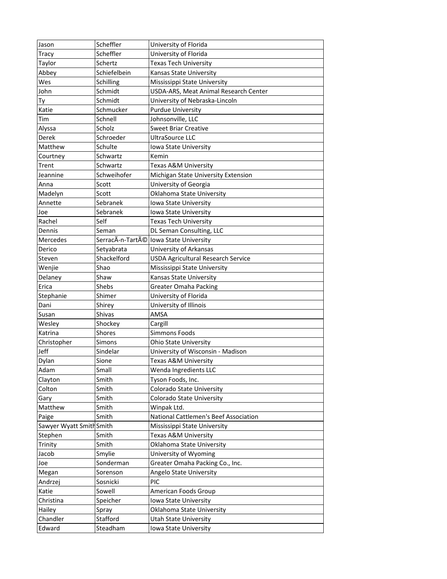| Jason                    | Scheffler    | University of Florida                     |
|--------------------------|--------------|-------------------------------------------|
| Tracy                    | Scheffler    | University of Florida                     |
| Taylor                   | Schertz      | <b>Texas Tech University</b>              |
| Abbey                    | Schiefelbein | Kansas State University                   |
| Wes                      | Schilling    | Mississippi State University              |
| John                     | Schmidt      | USDA-ARS, Meat Animal Research Center     |
| Тy                       | Schmidt      | University of Nebraska-Lincoln            |
| Katie                    | Schmucker    | <b>Purdue University</b>                  |
| Tim                      | Schnell      | Johnsonville, LLC                         |
| Alyssa                   | Scholz       | <b>Sweet Briar Creative</b>               |
| Derek                    | Schroeder    | <b>UltraSource LLC</b>                    |
| Matthew                  | Schulte      | <b>Iowa State University</b>              |
| Courtney                 | Schwartz     | Kemin                                     |
| Trent                    | Schwartz     | Texas A&M University                      |
| Jeannine                 | Schweihofer  | Michigan State University Extension       |
| Anna                     | Scott        | University of Georgia                     |
| Madelyn                  | Scott        | Oklahoma State University                 |
| Annette                  | Sebranek     | Iowa State University                     |
| Joe                      | Sebranek     | Iowa State University                     |
| Rachel                   | Self         | Texas Tech University                     |
| Dennis                   | Seman        | DL Seman Consulting, LLC                  |
| Mercedes                 |              | SerracÃ-n-Tarté lowa State University     |
| Derico                   | Setyabrata   | University of Arkansas                    |
| Steven                   | Shackelford  | <b>USDA Agricultural Research Service</b> |
| Wenjie                   | Shao         | Mississippi State University              |
| Delaney                  | Shaw         | Kansas State University                   |
| Erica                    | Shebs        | Greater Omaha Packing                     |
| Stephanie                | Shimer       | University of Florida                     |
| Dani                     | Shirey       | University of Illinois                    |
| Susan                    | Shivas       | AMSA                                      |
| Wesley                   | Shockey      | Cargill                                   |
| Katrina                  | Shores       | <b>Simmons Foods</b>                      |
| Christopher              | Simons       | <b>Ohio State University</b>              |
| Jeff                     | Sindelar     | University of Wisconsin - Madison         |
| Dylan                    | Sione        | Texas A&M University                      |
| Adam                     | Small        | Wenda Ingredients LLC                     |
| Clayton                  | Smith        | Tyson Foods, Inc.                         |
| Colton                   | Smith        | Colorado State University                 |
| Gary                     | Smith        | Colorado State University                 |
| Matthew                  | Smith        | Winpak Ltd.                               |
| Paige                    | Smith        | National Cattlemen's Beef Association     |
| Sawyer Wyatt Smith Smith |              | Mississippi State University              |
| Stephen                  | Smith        | Texas A&M University                      |
| Trinity                  | Smith        | Oklahoma State University                 |
| Jacob                    | Smylie       | University of Wyoming                     |
| Joe                      | Sonderman    | Greater Omaha Packing Co., Inc.           |
| Megan                    | Sorenson     | <b>Angelo State University</b>            |
| Andrzej                  | Sosnicki     | PIC                                       |
| Katie                    | Sowell       | American Foods Group                      |
| Christina                | Speicher     | Iowa State University                     |
| Hailey                   | Spray        | Oklahoma State University                 |
| Chandler                 | Stafford     | Utah State University                     |
| Edward                   | Steadham     | Iowa State University                     |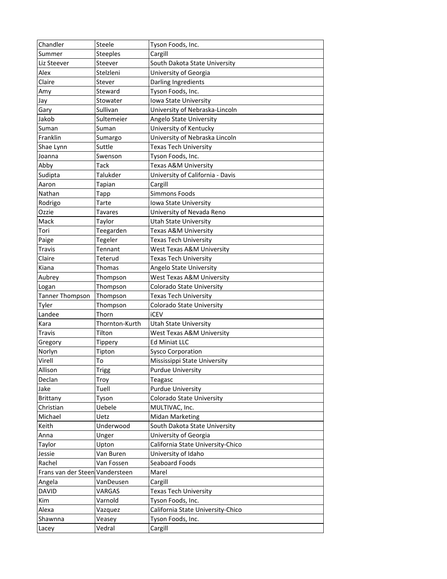| Chandler                        | Steele          | Tyson Foods, Inc.                    |
|---------------------------------|-----------------|--------------------------------------|
| Summer                          | <b>Steeples</b> | Cargill                              |
| Liz Steever                     | Steever         | South Dakota State University        |
| Alex                            | Stelzleni       | University of Georgia                |
| Claire                          | Stever          | Darling Ingredients                  |
| Amy                             | Steward         | Tyson Foods, Inc.                    |
| Jay                             | Stowater        | Iowa State University                |
| Gary                            | Sullivan        | University of Nebraska-Lincoln       |
| Jakob                           | Sultemeier      | Angelo State University              |
| Suman                           | Suman           | University of Kentucky               |
| Franklin                        | Sumargo         | University of Nebraska Lincoln       |
| Shae Lynn                       | Suttle          | <b>Texas Tech University</b>         |
| Joanna                          | Swenson         | Tyson Foods, Inc.                    |
| Abby                            | Tack            | Texas A&M University                 |
| Sudipta                         | Talukder        | University of California - Davis     |
| Aaron                           | Tapian          | Cargill                              |
| Nathan                          | Tapp            | <b>Simmons Foods</b>                 |
| Rodrigo                         | Tarte           | Iowa State University                |
| Ozzie                           | Tavares         | University of Nevada Reno            |
| Mack                            | Taylor          | <b>Utah State University</b>         |
| Tori                            | Teegarden       | Texas A&M University                 |
| Paige                           | Tegeler         | <b>Texas Tech University</b>         |
| Travis                          | Tennant         | <b>West Texas A&amp;M University</b> |
| Claire                          | Teterud         | Texas Tech University                |
| Kiana                           | Thomas          | Angelo State University              |
| Aubrey                          | Thompson        | West Texas A&M University            |
| Logan                           | Thompson        | Colorado State University            |
| <b>Tanner Thompson</b>          | Thompson        | <b>Texas Tech University</b>         |
| Tyler                           | Thompson        | Colorado State University            |
| Landee                          | Thorn           | <b>iCEV</b>                          |
| Kara                            | Thornton-Kurth  | Utah State University                |
| <b>Travis</b>                   | Tilton          | West Texas A&M University            |
| Gregory                         | Tippery         | <b>Ed Miniat LLC</b>                 |
| Norlyn                          | Tipton          | <b>Sysco Corporation</b>             |
| Virell                          | То              | Mississippi State University         |
| Allison                         | Trigg           | <b>Purdue University</b>             |
| Declan                          | Troy            | Teagasc                              |
| Jake                            | Tuell           | <b>Purdue University</b>             |
| Brittany                        | Tyson           | Colorado State University            |
| Christian                       | Uebele          | MULTIVAC, Inc.                       |
| Michael                         | Uetz            | <b>Midan Marketing</b>               |
| Keith                           | Underwood       | South Dakota State University        |
| Anna                            | Unger           | University of Georgia                |
| Taylor                          | Upton           | California State University-Chico    |
| Jessie                          | Van Buren       | University of Idaho                  |
| Rachel                          | Van Fossen      | Seaboard Foods                       |
| Frans van der Steen Vandersteen |                 | Marel                                |
| Angela                          | VanDeusen       | Cargill                              |
| <b>DAVID</b>                    | VARGAS          | Texas Tech University                |
| Kim                             | Varnold         | Tyson Foods, Inc.                    |
| Alexa                           |                 | California State University-Chico    |
|                                 | Vazquez         |                                      |
| Shawnna                         | Veasey          | Tyson Foods, Inc.                    |
| Lacey                           | Vedral          | Cargill                              |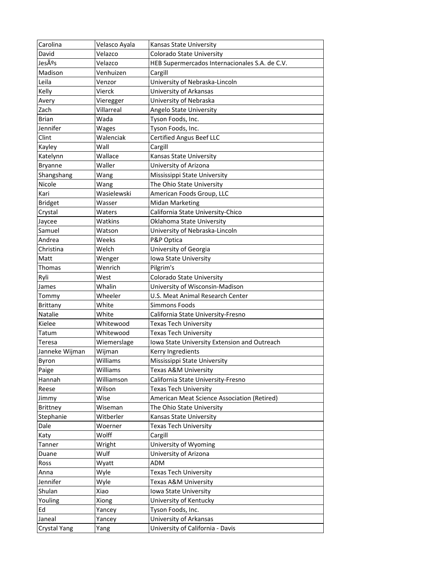| Carolina        | Velasco Ayala | Kansas State University                        |
|-----------------|---------------|------------------------------------------------|
| David           | Velazco       | Colorado State University                      |
| Jesús           | Velazco       | HEB Supermercados Internacionales S.A. de C.V. |
| Madison         | Venhuizen     | Cargill                                        |
| Leila           | Venzor        | University of Nebraska-Lincoln                 |
| Kelly           | Vierck        | University of Arkansas                         |
| Avery           | Vieregger     | University of Nebraska                         |
| Zach            | Villarreal    | Angelo State University                        |
| <b>Brian</b>    | Wada          | Tyson Foods, Inc.                              |
| Jennifer        | Wages         | Tyson Foods, Inc.                              |
| Clint           | Walenciak     | <b>Certified Angus Beef LLC</b>                |
| Kayley          | Wall          | Cargill                                        |
| Katelynn        | Wallace       | Kansas State University                        |
| <b>Bryanne</b>  | Waller        | University of Arizona                          |
| Shangshang      | Wang          | Mississippi State University                   |
| Nicole          | Wang          | The Ohio State University                      |
| Kari            | Wasielewski   | American Foods Group, LLC                      |
| <b>Bridget</b>  | Wasser        | <b>Midan Marketing</b>                         |
| Crystal         | Waters        | California State University-Chico              |
| Jaycee          | Watkins       | Oklahoma State University                      |
| Samuel          | Watson        | University of Nebraska-Lincoln                 |
| Andrea          | Weeks         | P&P Optica                                     |
| Christina       | Welch         | University of Georgia                          |
| Matt            | Wenger        | Iowa State University                          |
| Thomas          | Wenrich       | Pilgrim's                                      |
| Ryli            | West          | Colorado State University                      |
| James           | Whalin        | University of Wisconsin-Madison                |
| Tommy           | Wheeler       | U.S. Meat Animal Research Center               |
| <b>Brittany</b> | White         | <b>Simmons Foods</b>                           |
| <b>Natalie</b>  | White         | California State University-Fresno             |
| Kielee          | Whitewood     | Texas Tech University                          |
| Tatum           | Whitewood     | Texas Tech University                          |
| Teresa          | Wiemerslage   | Iowa State University Extension and Outreach   |
| Janneke Wijman  | Wijman        | Kerry Ingredients                              |
| Byron           | Williams      | Mississippi State University                   |
| Paige           | Williams      | Texas A&M University                           |
| Hannah          | Williamson    | California State University-Fresno             |
| Reese           | Wilson        | Texas Tech University                          |
| Jimmy           | Wise          | American Meat Science Association (Retired)    |
| <b>Brittney</b> | Wiseman       | The Ohio State University                      |
| Stephanie       | Witberler     | Kansas State University                        |
| Dale            | Woerner       | Texas Tech University                          |
| Katy            | Wolff         | Cargill                                        |
| Tanner          | Wright        | University of Wyoming                          |
|                 | Wulf          | University of Arizona                          |
| Duane           |               |                                                |
| Ross            | Wyatt<br>Wyle | ADM<br><b>Texas Tech University</b>            |
| Anna            |               |                                                |
| Jennifer        | Wyle          | Texas A&M University                           |
| Shulan          | Xiao          | Iowa State University                          |
| Youling         | Xiong         | University of Kentucky                         |
| Ed              | Yancey        | Tyson Foods, Inc.                              |
| Janeal          | Yancey        | University of Arkansas                         |
| Crystal Yang    | Yang          | University of California - Davis               |